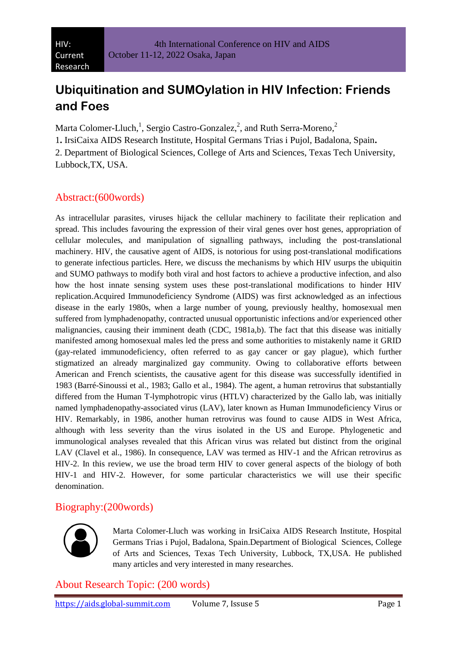# **Ubiquitination and SUMOylation in HIV Infection: Friends and Foes**

Marta Colomer-Lluch,<sup>1</sup>, Sergio Castro-Gonzalez,<sup>2</sup>, and Ruth Serra-Moreno,<sup>2</sup>

1**.** IrsiCaixa AIDS Research Institute, Hospital Germans Trias i Pujol, Badalona, Spain**.**

2. Department of Biological Sciences, College of Arts and Sciences, Texas Tech University, Lubbock,TX, USA.

## Abstract:(600words)

As intracellular parasites, viruses hijack the cellular machinery to facilitate their replication and spread. This includes favouring the expression of their viral genes over host genes, appropriation of cellular molecules, and manipulation of signalling pathways, including the post-translational machinery. HIV, the causative agent of AIDS, is notorious for using post-translational modifications to generate infectious particles. Here, we discuss the mechanisms by which HIV usurps the ubiquitin and SUMO pathways to modify both viral and host factors to achieve a productive infection, and also how the host innate sensing system uses these post-translational modifications to hinder HIV replication.Acquired Immunodeficiency Syndrome (AIDS) was first acknowledged as an infectious disease in the early 1980s, when a large number of young, previously healthy, homosexual men suffered from lymphadenopathy, contracted unusual opportunistic infections and/or experienced other malignancies, causing their imminent death (CDC, 1981a,b). The fact that this disease was initially manifested among homosexual males led the press and some authorities to mistakenly name it GRID (gay-related immunodeficiency, often referred to as gay cancer or gay plague), which further stigmatized an already marginalized gay community. Owing to collaborative efforts between American and French scientists, the causative agent for this disease was successfully identified in 1983 (Barré-Sinoussi et al., 1983; Gallo et al., 1984). The agent, a human retrovirus that substantially differed from the Human T-lymphotropic virus (HTLV) characterized by the Gallo lab, was initially named lymphadenopathy-associated virus (LAV), later known as Human Immunodeficiency Virus or HIV. Remarkably, in 1986, another human retrovirus was found to cause AIDS in West Africa, although with less severity than the virus isolated in the US and Europe. Phylogenetic and immunological analyses revealed that this African virus was related but distinct from the original LAV (Clavel et al., 1986). In consequence, LAV was termed as HIV-1 and the African retrovirus as HIV-2. In this review, we use the broad term HIV to cover general aspects of the biology of both HIV-1 and HIV-2. However, for some particular characteristics we will use their specific denomination.

### Biography:(200words)



Marta Colomer-Lluch was working in IrsiCaixa AIDS Research Institute, Hospital Germans Trias i Pujol, Badalona, Spain.Department of Biological Sciences, College of Arts and Sciences, Texas Tech University, Lubbock, TX,USA. He published many articles and very interested in many researches.

About Research Topic: (200 words)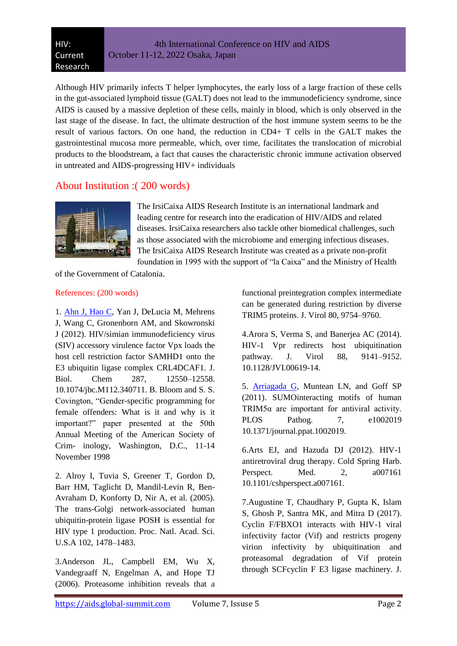Although HIV primarily infects T helper lymphocytes, the early loss of a large fraction of these cells in the gut-associated lymphoid tissue (GALT) does not lead to the immunodeficiency syndrome, since AIDS is caused by a massive depletion of these cells, mainly in blood, which is only observed in the last stage of the disease. In fact, the ultimate destruction of the host immune system seems to be the result of various factors. On one hand, the reduction in CD4+ T cells in the GALT makes the gastrointestinal mucosa more permeable, which, over time, facilitates the translocation of microbial products to the bloodstream, a fact that causes the characteristic chronic immune activation observed in untreated and AIDS-progressing HIV+ individuals

### About Institution :( 200 words)



The IrsiCaixa AIDS Research Institute is an international landmark and leading centre for research into the eradication of HIV/AIDS and related diseases. IrsiCaixa researchers also tackle other biomedical challenges, such as those associated with the microbiome and emerging infectious diseases. The IrsiCaixa AIDS Research Institute was created as a private non-profit foundation in 1995 with the support of "la Caixa" and the Ministry of Health

of the Government of Catalonia.

#### References: (200 words)

1. [Ahn J, Hao C,](https://www.longdom.org/hiv-current-research/archive.html) Yan J, DeLucia M, Mehrens J, Wang C, Gronenborn AM, and Skowronski J (2012). HIV/simian immunodeficiency virus (SIV) accessory virulence factor Vpx loads the host cell restriction factor SAMHD1 onto the E3 ubiquitin ligase complex CRL4DCAF1. J. Biol. Chem 287, 12550–12558. 10.1074/jbc.M112.340711. B. Bloom and S. S. Covington, "Gender-specific programming for female offenders: What is it and why is it important?" paper presented at the 50th Annual Meeting of the American Society of Crim- inology, Washington, D.C., 11-14 November 1998

2. Alroy I, Tuvia S, Greener T, Gordon D, Barr HM, Taglicht D, Mandil-Levin R, Ben-Avraham D, Konforty D, Nir A, et al. (2005). The trans-Golgi network-associated human ubiquitin-protein ligase POSH is essential for HIV type 1 production. Proc. Natl. Acad. Sci. U.S.A 102, 1478–1483.

3.Anderson JL, Campbell EM, Wu X, Vandegraaff N, Engelman A, and Hope TJ (2006). Proteasome inhibition reveals that a functional preintegration complex intermediate can be generated during restriction by diverse TRIM5 proteins. J. Virol 80, 9754–9760.

4.Arora S, Verma S, and Banerjea AC (2014). HIV-1 Vpr redirects host ubiquitination pathway. J. Virol 88, 9141–9152. 10.1128/JVI.00619-14.

5. [Arriagada G,](https://www.longdom.org/hiv-current-research.html) Muntean LN, and Goff SP (2011). SUMOinteracting motifs of human TRIM5 $\alpha$  are important for antiviral activity. PLOS Pathog. 7, e1002019 10.1371/journal.ppat.1002019.

6.Arts EJ, and Hazuda DJ (2012). HIV-1 antiretroviral drug therapy. Cold Spring Harb. Perspect. Med. 2, a007161 10.1101/cshperspect.a007161.

7.Augustine T, Chaudhary P, Gupta K, Islam S, Ghosh P, Santra MK, and Mitra D (2017). Cyclin F/FBXO1 interacts with HIV-1 viral infectivity factor (Vif) and restricts progeny virion infectivity by ubiquitination and proteasomal degradation of Vif protein through SCFcyclin F E3 ligase machinery. J.